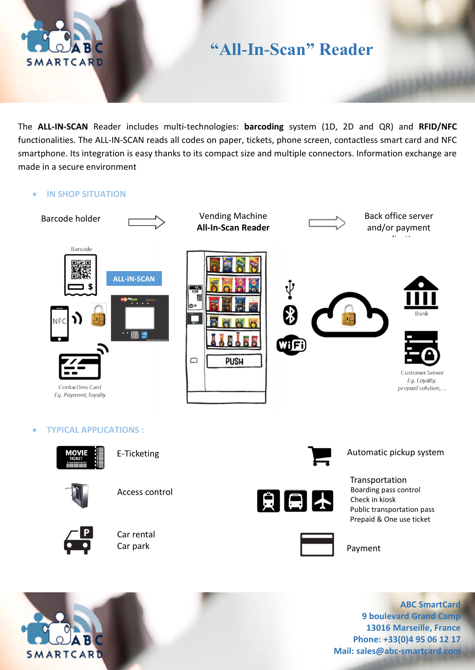

## **"All-In-Scan" Reader**

The **ALL-IN-SCAN** Reader includes multi-technologies: **barcoding** system (1D, 2D and QR) and **RFID/NFC** functionalities. The ALL-IN-SCAN reads all codes on paper, tickets, phone screen, contactless smart card and NFC smartphone. Its integration is easy thanks to its compact size and multiple connectors. Information exchange are made in a secure environment

• **IN SHOP SITUATION**



• **TYPICAL APPLICATIONS :**



E-Ticketing



Access control



Car rental



Transportation Boarding pass control Check in kiosk Public transportation pass Prepaid & One use ticket

Automatic pickup system



**ABC SmartCard 9 boulevard Grand Camp 13016 Marseille, France Phone: +33(0)4 95 06 12 17 Mail: sales@abc-smartcard.com**